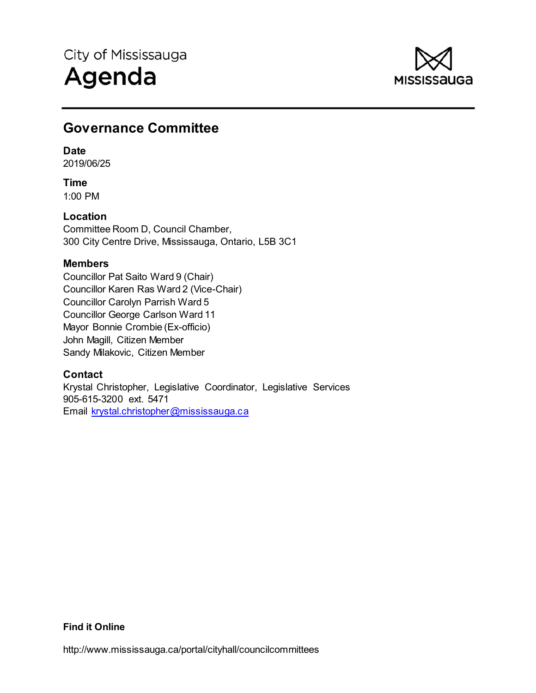

# **Governance Committee**

## **Date**

2019/06/25

**Time**  1:00 PM

# **Location**

Committee Room D, Council Chamber, 300 City Centre Drive, Mississauga, Ontario, L5B 3C1

# **Members**

Councillor Pat Saito Ward 9 (Chair) Councillor Karen Ras Ward 2 (Vice-Chair) Councillor Carolyn Parrish Ward 5 Councillor George Carlson Ward 11 Mayor Bonnie Crombie (Ex-officio) John Magill, Citizen Member Sandy Milakovic, Citizen Member

# **Contact**

Krystal Christopher, Legislative Coordinator, Legislative Services 905-615-3200 ext. 5471 Email krystal.christopher@mississauga.ca

## **Find it Online**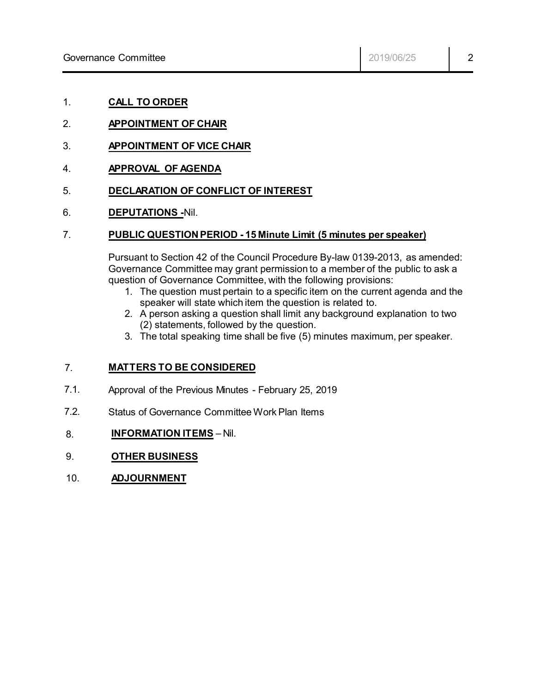- 1. **CALL TO ORDER**
- 2. **APPOINTMENT OF CHAIR**
- 3. **APPOINTMENT OF VICE CHAIR**
- 4. **APPROVAL OF AGENDA**
- 5. **DECLARATION OF CONFLICT OF INTEREST**
- 6. **DEPUTATIONS -**Nil.

### 7. **PUBLIC QUESTION PERIOD - 15 Minute Limit (5 minutes per speaker)**

Pursuant to Section 42 of the Council Procedure By-law 0139-2013, as amended: Governance Committee may grant permission to a member of the public to ask a question of Governance Committee, with the following provisions:

- 1. The question must pertain to a specific item on the current agenda and the speaker will state which item the question is related to.
- 2. A person asking a question shall limit any background explanation to two (2) statements, followed by the question.
- 3. The total speaking time shall be five (5) minutes maximum, per speaker.

#### 7. **MATTERS TO BE CONSIDERED**

- 7.1. Approval of the Previous Minutes - February 25, 2019
- 7.2. Status of Governance Committee Work Plan Items
- 8. **INFORMATION ITEMS** Nil.
- 9. **OTHER BUSINESS**
- 10. **ADJOURNMENT**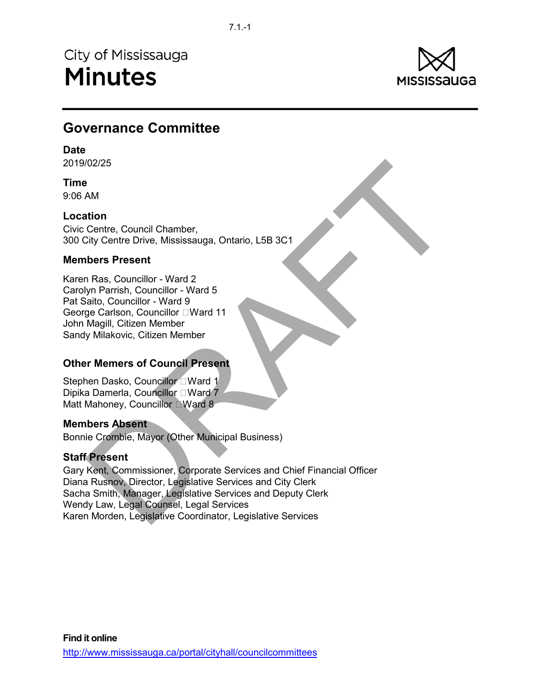City of Mississauga **Minutes** 



# **Governance Committee**

## **Date**

2019/02/25

# **Time**

9:06 AM

## **Location**

Civic Centre, Council Chamber, 300 City Centre Drive, Mississauga, Ontario, L5B 3C1

## **Members Present**

Karen Ras, Councillor - Ward 2 Carolyn Parrish, Councillor - Ward 5 Pat Saito, Councillor - Ward 9 George Carlson, Councillor □ Ward 11 John Magill, Citizen Member Sandy Milakovic, Citizen Member

# **Other Memers of Council Present**

Stephen Dasko, Councillor LWard 1 Dipika Damerla, Councillor □ Ward 7 Matt Mahoney, Councillor DWard 8

## **Members Absent**

Bonnie Crombie, Mayor (Other Municipal Business)

# **Staff Present**

102/25<br>
NAM<br>
AM<br>
AM<br>
AM<br>
Crity Centre Drive, Mississauga, Ontario, L5B 3C1<br>
Debr Present<br>
NRS, Councillor - Ward 2<br>
yn Parrish, Councillor - Ward 5<br>
alato, Councillor - Ward 9<br>
Declarion, Councillor - Ward 11<br>
Milakovic, Gary Kent, Commissioner, Corporate Services and Chief Financial Officer Diana Rusnov, Director, Legislative Services and City Clerk Sacha Smith, Manager, Legislative Services and Deputy Clerk Wendy Law, Legal Counsel, Legal Services Karen Morden, Legislative Coordinator, Legislative Services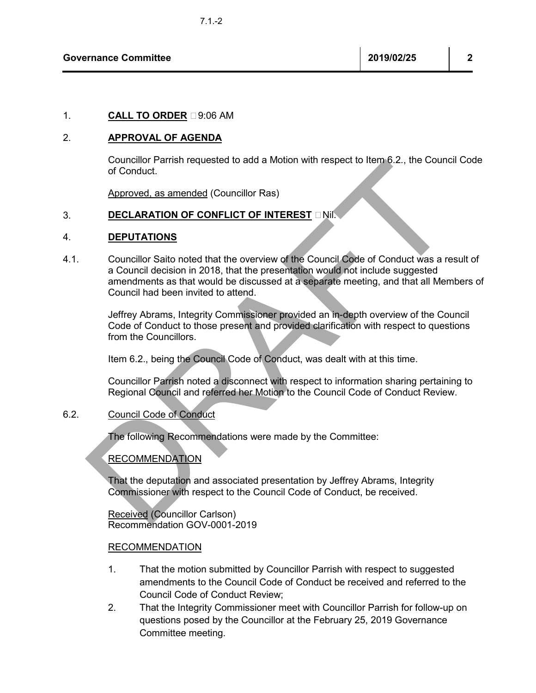## 1. **CALL TO ORDER** 29:06 AM

### 2. **APPROVAL OF AGENDA**

Councillor Parrish requested to add a Motion with respect to Item 6.2., the Council Code of Conduct.

Approved, as amended (Councillor Ras)

### 3. **DECLARATION OF CONFLICT OF INTEREST** INIL

#### 4. **DEPUTATIONS**

Conduction Partish requested to add a Motion with respect to item o.2., the Council Code<br>of Conduct.<br>
Approved, as amended (Councillor Ras)<br>
DECLARATION OF CONFLICT OF INTEREST DNI.<br>
Councillor Saito noted that the overvie 4.1. Councillor Saito noted that the overview of the Council Code of Conduct was a result of a Council decision in 2018, that the presentation would not include suggested amendments as that would be discussed at a separate meeting, and that all Members of Council had been invited to attend.

Jeffrey Abrams, Integrity Commissioner provided an in-depth overview of the Council Code of Conduct to those present and provided clarification with respect to questions from the Councillors.

Item 6.2., being the Council Code of Conduct, was dealt with at this time.

Councillor Parrish noted a disconnect with respect to information sharing pertaining to Regional Council and referred her Motion to the Council Code of Conduct Review.

#### 6.2. Council Code of Conduct

The following Recommendations were made by the Committee:

## RECOMMENDATION

That the deputation and associated presentation by Jeffrey Abrams, Integrity Commissioner with respect to the Council Code of Conduct, be received.

Received (Councillor Carlson) Recommendation GOV-0001-2019

### RECOMMENDATION

- 1. That the motion submitted by Councillor Parrish with respect to suggested amendments to the Council Code of Conduct be received and referred to the Council Code of Conduct Review;
- 2. That the Integrity Commissioner meet with Councillor Parrish for follow-up on questions posed by the Councillor at the February 25, 2019 Governance Committee meeting.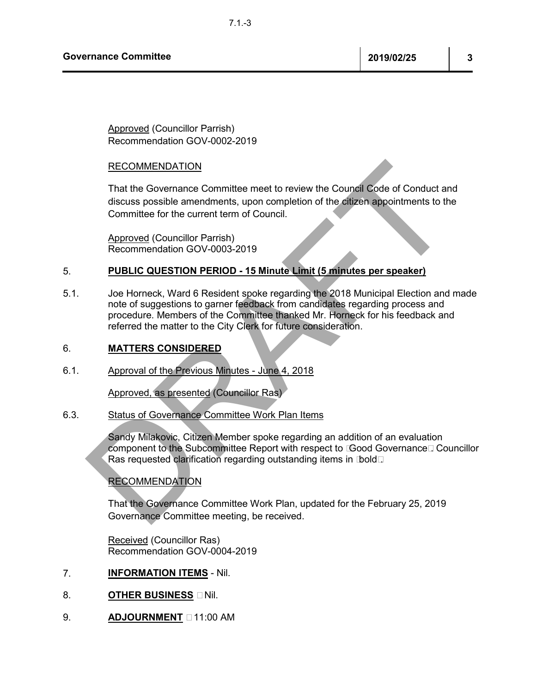**Governance Committee 2019/02/25 3** 

Approved (Councillor Parrish) Recommendation GOV-0002-2019

### RECOMMENDATION

That the Governance Committee meet to review the Council Code of Conduct and discuss possible amendments, upon completion of the citizen appointments to the Committee for the current term of Council.

Approved (Councillor Parrish) Recommendation GOV-0003-2019

#### 5. **PUBLIC QUESTION PERIOD - 15 Minute Limit (5 minutes per speaker)**

RECOMMENDATION<br>
That the Governance Committee meet to review the Council Code of Conduct and<br>
discuss possible amendments, upon completion of the digren appointments to the<br>
Committee for the current term of Council.<br>
Appr 5.1. Joe Horneck, Ward 6 Resident spoke regarding the 2018 Municipal Election and made note of suggestions to garner feedback from candidates regarding process and procedure. Members of the Committee thanked Mr. Horneck for his feedback and referred the matter to the City Clerk for future consideration.

### 6. **MATTERS CONSIDERED**

6.1. Approval of the Previous Minutes - June 4, 2018

Approved, as presented (Councillor Ras)

## 6.3. Status of Governance Committee Work Plan Items

Sandy Milakovic, Citizen Member spoke regarding an addition of an evaluation component to the Subcommittee Report with respect to  $\mathbb{G}$ ood Governance $\Box$  Councillor Ras requested clarification regarding outstanding items in Dold

## RECOMMENDATION

That the Governance Committee Work Plan, updated for the February 25, 2019 Governance Committee meeting, be received.

Received (Councillor Ras) Recommendation GOV-0004-2019

- 7. **INFORMATION ITEMS** Nil.
- 8. **OTHER BUSINESS** DNil.
- 9. **ADJOURNMENT**  $\Box$  11:00 AM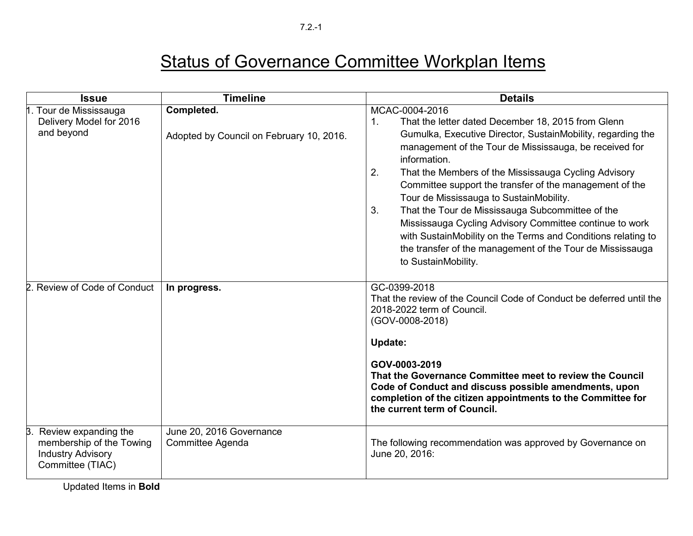| <b>Issue</b>                                                                                     | <b>Timeline</b>                                        | <b>Details</b>                                                                                                                                                                                                                                                                                                                                                                                                                                                                                                                                                                                                                                                               |
|--------------------------------------------------------------------------------------------------|--------------------------------------------------------|------------------------------------------------------------------------------------------------------------------------------------------------------------------------------------------------------------------------------------------------------------------------------------------------------------------------------------------------------------------------------------------------------------------------------------------------------------------------------------------------------------------------------------------------------------------------------------------------------------------------------------------------------------------------------|
| Tour de Mississauga<br>Delivery Model for 2016<br>and beyond                                     | Completed.<br>Adopted by Council on February 10, 2016. | MCAC-0004-2016<br>That the letter dated December 18, 2015 from Glenn<br>$\mathbf{1}$ .<br>Gumulka, Executive Director, SustainMobility, regarding the<br>management of the Tour de Mississauga, be received for<br>information.<br>2.<br>That the Members of the Mississauga Cycling Advisory<br>Committee support the transfer of the management of the<br>Tour de Mississauga to SustainMobility.<br>3.<br>That the Tour de Mississauga Subcommittee of the<br>Mississauga Cycling Advisory Committee continue to work<br>with SustainMobility on the Terms and Conditions relating to<br>the transfer of the management of the Tour de Mississauga<br>to SustainMobility. |
| Review of Code of Conduct                                                                        | In progress.                                           | GC-0399-2018<br>That the review of the Council Code of Conduct be deferred until the<br>2018-2022 term of Council.<br>(GOV-0008-2018)<br><b>Update:</b><br>GOV-0003-2019<br>That the Governance Committee meet to review the Council<br>Code of Conduct and discuss possible amendments, upon<br>completion of the citizen appointments to the Committee for<br>the current term of Council.                                                                                                                                                                                                                                                                                 |
| Review expanding the<br>membership of the Towing<br><b>Industry Advisory</b><br>Committee (TIAC) | June 20, 2016 Governance<br>Committee Agenda           | The following recommendation was approved by Governance on<br>June 20, 2016:                                                                                                                                                                                                                                                                                                                                                                                                                                                                                                                                                                                                 |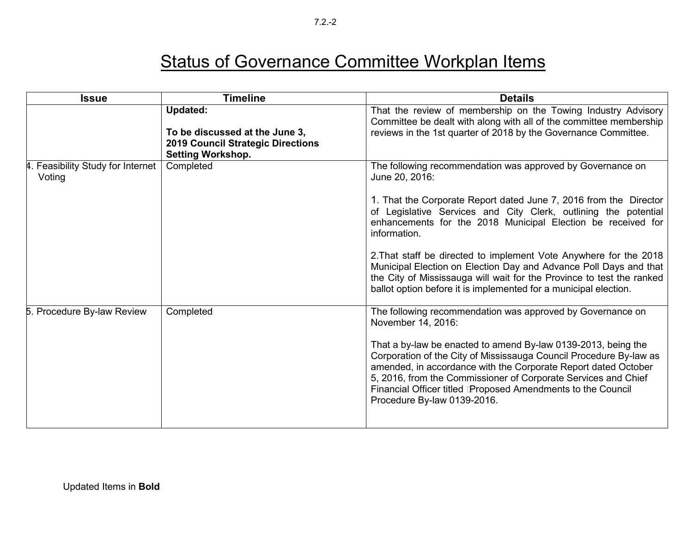| <b>Issue</b>                                | <b>Timeline</b>                                                                                                           | <b>Details</b>                                                                                                                                                                                                                                                                                                                                                                                                                                                                                                                                                                              |
|---------------------------------------------|---------------------------------------------------------------------------------------------------------------------------|---------------------------------------------------------------------------------------------------------------------------------------------------------------------------------------------------------------------------------------------------------------------------------------------------------------------------------------------------------------------------------------------------------------------------------------------------------------------------------------------------------------------------------------------------------------------------------------------|
|                                             | <b>Updated:</b><br>To be discussed at the June 3,<br><b>2019 Council Strategic Directions</b><br><b>Setting Workshop.</b> | That the review of membership on the Towing Industry Advisory<br>Committee be dealt with along with all of the committee membership<br>reviews in the 1st quarter of 2018 by the Governance Committee.                                                                                                                                                                                                                                                                                                                                                                                      |
| 4. Feasibility Study for Internet<br>Voting | Completed                                                                                                                 | The following recommendation was approved by Governance on<br>June 20, 2016:<br>1. That the Corporate Report dated June 7, 2016 from the Director<br>of Legislative Services and City Clerk, outlining the potential<br>enhancements for the 2018 Municipal Election be received for<br>information.<br>2. That staff be directed to implement Vote Anywhere for the 2018<br>Municipal Election on Election Day and Advance Poll Days and that<br>the City of Mississauga will wait for the Province to test the ranked<br>ballot option before it is implemented for a municipal election. |
| 5. Procedure By-law Review                  | Completed                                                                                                                 | The following recommendation was approved by Governance on<br>November 14, 2016:<br>That a by-law be enacted to amend By-law 0139-2013, being the<br>Corporation of the City of Mississauga Council Procedure By-law as<br>amended, in accordance with the Corporate Report dated October<br>5, 2016, from the Commissioner of Corporate Services and Chief<br>Financial Officer titled Proposed Amendments to the Council<br>Procedure By-law 0139-2016.                                                                                                                                   |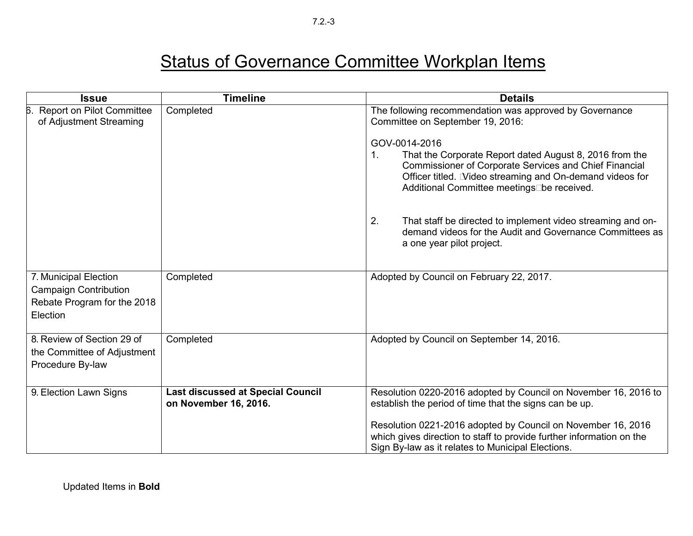| <b>Issue</b>                                                                                     | <b>Timeline</b>                                                   | <b>Details</b>                                                                                                                                                                                                                                            |
|--------------------------------------------------------------------------------------------------|-------------------------------------------------------------------|-----------------------------------------------------------------------------------------------------------------------------------------------------------------------------------------------------------------------------------------------------------|
| Report on Pilot Committee<br>6<br>of Adjustment Streaming                                        | Completed                                                         | The following recommendation was approved by Governance<br>Committee on September 19, 2016:                                                                                                                                                               |
|                                                                                                  |                                                                   | GOV-0014-2016<br>That the Corporate Report dated August 8, 2016 from the<br>1.<br><b>Commissioner of Corporate Services and Chief Financial</b><br>Officer titled. Video streaming and On-demand videos for<br>Additional Committee meetings be received. |
|                                                                                                  |                                                                   | That staff be directed to implement video streaming and on-<br>2.<br>demand videos for the Audit and Governance Committees as<br>a one year pilot project.                                                                                                |
| 7. Municipal Election<br><b>Campaign Contribution</b><br>Rebate Program for the 2018<br>Election | Completed                                                         | Adopted by Council on February 22, 2017.                                                                                                                                                                                                                  |
| 8. Review of Section 29 of<br>the Committee of Adjustment<br>Procedure By-law                    | Completed                                                         | Adopted by Council on September 14, 2016.                                                                                                                                                                                                                 |
| 9. Election Lawn Signs                                                                           | <b>Last discussed at Special Council</b><br>on November 16, 2016. | Resolution 0220-2016 adopted by Council on November 16, 2016 to<br>establish the period of time that the signs can be up.                                                                                                                                 |
|                                                                                                  |                                                                   | Resolution 0221-2016 adopted by Council on November 16, 2016<br>which gives direction to staff to provide further information on the<br>Sign By-law as it relates to Municipal Elections.                                                                 |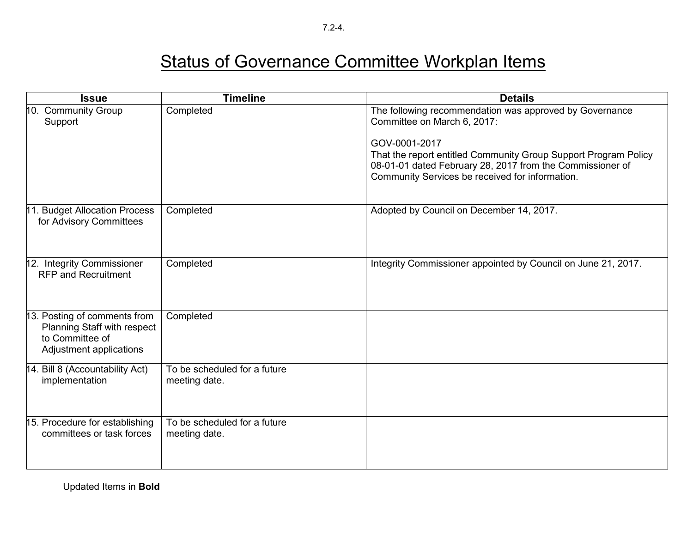7.2-4.

| <b>Issue</b>                                                                                              | <b>Timeline</b>                               | <b>Details</b>                                                                                                                                                                                                                                                                             |
|-----------------------------------------------------------------------------------------------------------|-----------------------------------------------|--------------------------------------------------------------------------------------------------------------------------------------------------------------------------------------------------------------------------------------------------------------------------------------------|
| 10. Community Group<br>Support                                                                            | Completed                                     | The following recommendation was approved by Governance<br>Committee on March 6, 2017:<br>GOV-0001-2017<br>That the report entitled Community Group Support Program Policy<br>08-01-01 dated February 28, 2017 from the Commissioner of<br>Community Services be received for information. |
| 11. Budget Allocation Process<br>for Advisory Committees                                                  | Completed                                     | Adopted by Council on December 14, 2017.                                                                                                                                                                                                                                                   |
| 12. Integrity Commissioner<br><b>RFP and Recruitment</b>                                                  | Completed                                     | Integrity Commissioner appointed by Council on June 21, 2017.                                                                                                                                                                                                                              |
| 13. Posting of comments from<br>Planning Staff with respect<br>to Committee of<br>Adjustment applications | Completed                                     |                                                                                                                                                                                                                                                                                            |
| 14. Bill 8 (Accountability Act)<br>implementation                                                         | To be scheduled for a future<br>meeting date. |                                                                                                                                                                                                                                                                                            |
| 15. Procedure for establishing<br>committees or task forces                                               | To be scheduled for a future<br>meeting date. |                                                                                                                                                                                                                                                                                            |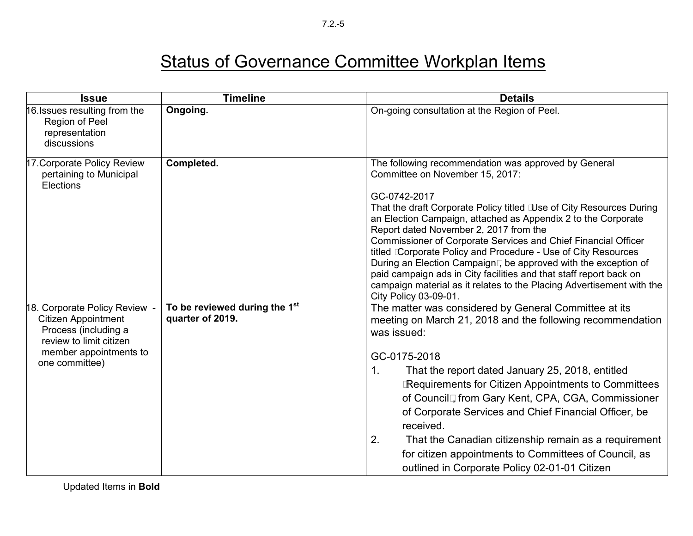| <b>Issue</b>                                                                                                                                               | <b>Timeline</b>                                   | <b>Details</b>                                                                                                                                                                                                                                                                                                                                                                                                                                                                                                                                                                                                                                                          |
|------------------------------------------------------------------------------------------------------------------------------------------------------------|---------------------------------------------------|-------------------------------------------------------------------------------------------------------------------------------------------------------------------------------------------------------------------------------------------------------------------------------------------------------------------------------------------------------------------------------------------------------------------------------------------------------------------------------------------------------------------------------------------------------------------------------------------------------------------------------------------------------------------------|
| 16. Issues resulting from the<br>Region of Peel<br>representation<br>discussions                                                                           | Ongoing.                                          | On-going consultation at the Region of Peel.                                                                                                                                                                                                                                                                                                                                                                                                                                                                                                                                                                                                                            |
| 17. Corporate Policy Review<br>pertaining to Municipal<br>Elections                                                                                        | Completed.                                        | The following recommendation was approved by General<br>Committee on November 15, 2017:<br>GC-0742-2017<br>That the draft Corporate Policy titled Luse of City Resources During<br>an Election Campaign, attached as Appendix 2 to the Corporate<br>Report dated November 2, 2017 from the<br>Commissioner of Corporate Services and Chief Financial Officer<br>titled Corporate Policy and Procedure - Use of City Resources<br>During an Election Campaign□ be approved with the exception of<br>paid campaign ads in City facilities and that staff report back on<br>campaign material as it relates to the Placing Advertisement with the<br>City Policy 03-09-01. |
| 18. Corporate Policy Review -<br><b>Citizen Appointment</b><br>Process (including a<br>review to limit citizen<br>member appointments to<br>one committee) | To be reviewed during the 1st<br>quarter of 2019. | The matter was considered by General Committee at its<br>meeting on March 21, 2018 and the following recommendation<br>was issued:<br>GC-0175-2018<br>That the report dated January 25, 2018, entitled<br>$\mathbf 1$ .<br><b>IRequirements for Citizen Appointments to Committees</b><br>of Council, from Gary Kent, CPA, CGA, Commissioner<br>of Corporate Services and Chief Financial Officer, be<br>received.<br>2.<br>That the Canadian citizenship remain as a requirement<br>for citizen appointments to Committees of Council, as<br>outlined in Corporate Policy 02-01-01 Citizen                                                                             |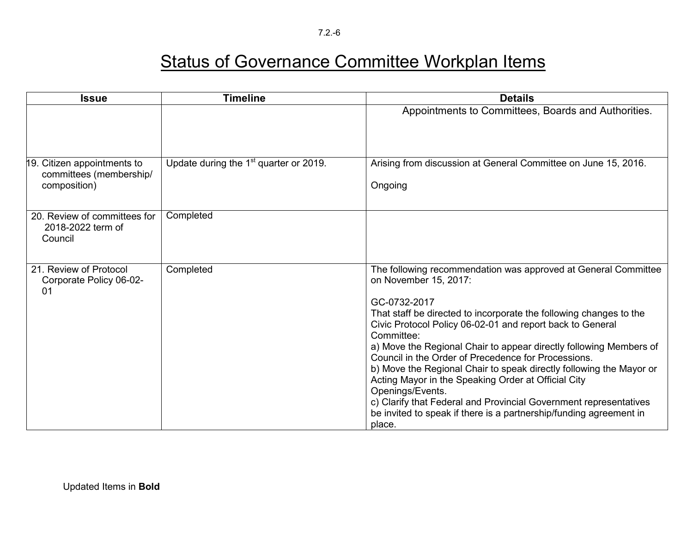7.2.-6

| <b>Issue</b>                                                           | <b>Timeline</b>                          | <b>Details</b>                                                                                                                                                                                                                                                                                                                                                                                                                                                                                                                                                                                                                                                                               |
|------------------------------------------------------------------------|------------------------------------------|----------------------------------------------------------------------------------------------------------------------------------------------------------------------------------------------------------------------------------------------------------------------------------------------------------------------------------------------------------------------------------------------------------------------------------------------------------------------------------------------------------------------------------------------------------------------------------------------------------------------------------------------------------------------------------------------|
|                                                                        |                                          | Appointments to Committees, Boards and Authorities.                                                                                                                                                                                                                                                                                                                                                                                                                                                                                                                                                                                                                                          |
| 19. Citizen appointments to<br>committees (membership/<br>composition) | Update during the $1st$ quarter or 2019. | Arising from discussion at General Committee on June 15, 2016.<br>Ongoing                                                                                                                                                                                                                                                                                                                                                                                                                                                                                                                                                                                                                    |
| 20. Review of committees for<br>2018-2022 term of<br>Council           | Completed                                |                                                                                                                                                                                                                                                                                                                                                                                                                                                                                                                                                                                                                                                                                              |
| 21. Review of Protocol<br>Corporate Policy 06-02-<br>01                | Completed                                | The following recommendation was approved at General Committee<br>on November 15, 2017:<br>GC-0732-2017<br>That staff be directed to incorporate the following changes to the<br>Civic Protocol Policy 06-02-01 and report back to General<br>Committee:<br>a) Move the Regional Chair to appear directly following Members of<br>Council in the Order of Precedence for Processions.<br>b) Move the Regional Chair to speak directly following the Mayor or<br>Acting Mayor in the Speaking Order at Official City<br>Openings/Events.<br>c) Clarify that Federal and Provincial Government representatives<br>be invited to speak if there is a partnership/funding agreement in<br>place. |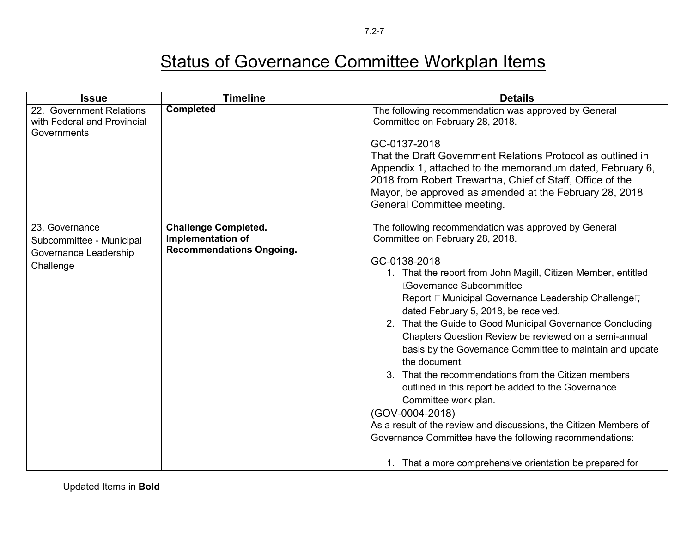| <b>Issue</b>                                                           | <b>Timeline</b>                                             | <b>Details</b>                                                                                                      |
|------------------------------------------------------------------------|-------------------------------------------------------------|---------------------------------------------------------------------------------------------------------------------|
| 22. Government Relations<br>with Federal and Provincial<br>Governments | <b>Completed</b>                                            | The following recommendation was approved by General<br>Committee on February 28, 2018.                             |
|                                                                        |                                                             | GC-0137-2018                                                                                                        |
|                                                                        |                                                             | That the Draft Government Relations Protocol as outlined in                                                         |
|                                                                        |                                                             | Appendix 1, attached to the memorandum dated, February 6,                                                           |
|                                                                        |                                                             | 2018 from Robert Trewartha, Chief of Staff, Office of the<br>Mayor, be approved as amended at the February 28, 2018 |
|                                                                        |                                                             | General Committee meeting.                                                                                          |
| 23. Governance                                                         | <b>Challenge Completed.</b>                                 | The following recommendation was approved by General                                                                |
| Subcommittee - Municipal                                               | <b>Implementation of</b><br><b>Recommendations Ongoing.</b> | Committee on February 28, 2018.                                                                                     |
| Governance Leadership<br>Challenge                                     |                                                             | GC-0138-2018                                                                                                        |
|                                                                        |                                                             | 1. That the report from John Magill, Citizen Member, entitled                                                       |
|                                                                        |                                                             | <b>Governance Subcommittee</b>                                                                                      |
|                                                                        |                                                             | Report □ Municipal Governance Leadership Challenge口<br>dated February 5, 2018, be received.                         |
|                                                                        |                                                             | 2. That the Guide to Good Municipal Governance Concluding<br>Chapters Question Review be reviewed on a semi-annual  |
|                                                                        |                                                             | basis by the Governance Committee to maintain and update                                                            |
|                                                                        |                                                             | the document.                                                                                                       |
|                                                                        |                                                             | 3. That the recommendations from the Citizen members                                                                |
|                                                                        |                                                             | outlined in this report be added to the Governance<br>Committee work plan.                                          |
|                                                                        |                                                             | (GOV-0004-2018)                                                                                                     |
|                                                                        |                                                             | As a result of the review and discussions, the Citizen Members of                                                   |
|                                                                        |                                                             | Governance Committee have the following recommendations:                                                            |
|                                                                        |                                                             | 1. That a more comprehensive orientation be prepared for                                                            |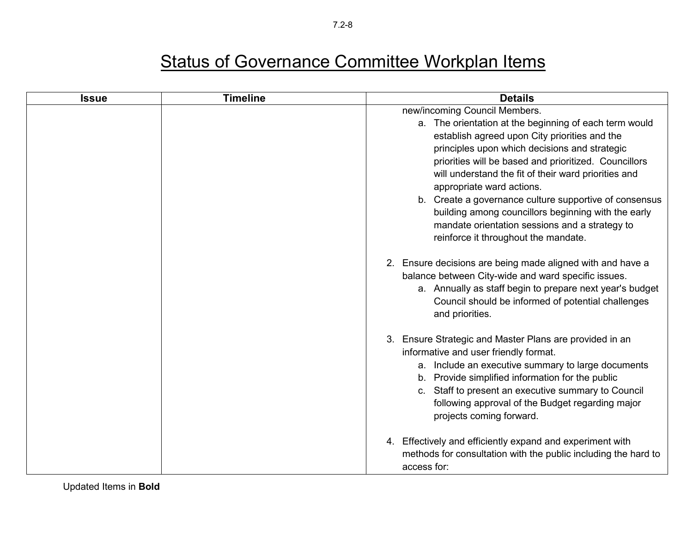| <b>Issue</b> | <b>Timeline</b> | <b>Details</b>                                                                                         |
|--------------|-----------------|--------------------------------------------------------------------------------------------------------|
|              |                 | new/incoming Council Members.                                                                          |
|              |                 | a. The orientation at the beginning of each term would                                                 |
|              |                 | establish agreed upon City priorities and the                                                          |
|              |                 | principles upon which decisions and strategic                                                          |
|              |                 | priorities will be based and prioritized. Councillors                                                  |
|              |                 | will understand the fit of their ward priorities and                                                   |
|              |                 | appropriate ward actions.                                                                              |
|              |                 | b. Create a governance culture supportive of consensus                                                 |
|              |                 | building among councillors beginning with the early                                                    |
|              |                 | mandate orientation sessions and a strategy to                                                         |
|              |                 | reinforce it throughout the mandate.                                                                   |
|              |                 | 2. Ensure decisions are being made aligned with and have a                                             |
|              |                 | balance between City-wide and ward specific issues.                                                    |
|              |                 | a. Annually as staff begin to prepare next year's budget                                               |
|              |                 | Council should be informed of potential challenges                                                     |
|              |                 | and priorities.                                                                                        |
|              |                 |                                                                                                        |
|              |                 | 3. Ensure Strategic and Master Plans are provided in an                                                |
|              |                 | informative and user friendly format.                                                                  |
|              |                 | a. Include an executive summary to large documents<br>b. Provide simplified information for the public |
|              |                 | c. Staff to present an executive summary to Council                                                    |
|              |                 | following approval of the Budget regarding major                                                       |
|              |                 | projects coming forward.                                                                               |
|              |                 |                                                                                                        |
|              |                 | Effectively and efficiently expand and experiment with<br>4.                                           |
|              |                 | methods for consultation with the public including the hard to                                         |
|              |                 | access for:                                                                                            |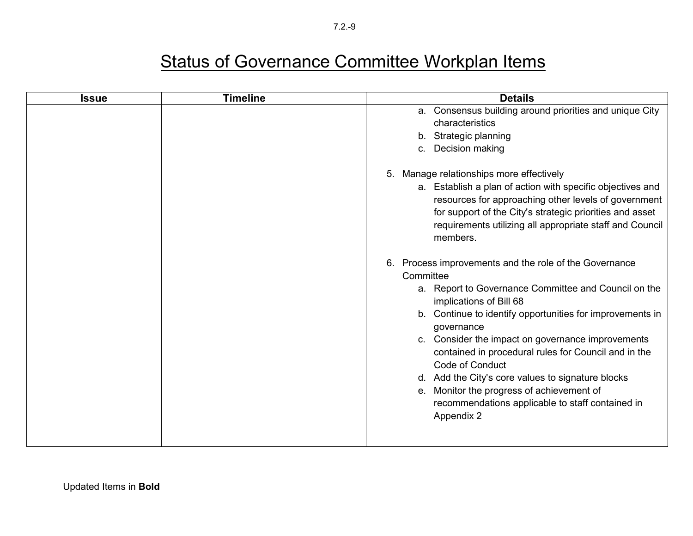| <b>Issue</b> | <b>Timeline</b> | <b>Details</b>                                                                                                                   |
|--------------|-----------------|----------------------------------------------------------------------------------------------------------------------------------|
|              |                 | a. Consensus building around priorities and unique City                                                                          |
|              |                 | characteristics                                                                                                                  |
|              |                 | b. Strategic planning                                                                                                            |
|              |                 | Decision making<br>$C_{1}$                                                                                                       |
|              |                 | Manage relationships more effectively<br>5.                                                                                      |
|              |                 | a. Establish a plan of action with specific objectives and<br>resources for approaching other levels of government               |
|              |                 | for support of the City's strategic priorities and asset<br>requirements utilizing all appropriate staff and Council<br>members. |
|              |                 | Process improvements and the role of the Governance<br>6.<br>Committee                                                           |
|              |                 |                                                                                                                                  |
|              |                 | a. Report to Governance Committee and Council on the<br>implications of Bill 68                                                  |
|              |                 | b. Continue to identify opportunities for improvements in<br>governance                                                          |
|              |                 | c. Consider the impact on governance improvements<br>contained in procedural rules for Council and in the                        |
|              |                 | Code of Conduct                                                                                                                  |
|              |                 | d. Add the City's core values to signature blocks                                                                                |
|              |                 | e. Monitor the progress of achievement of                                                                                        |
|              |                 | recommendations applicable to staff contained in                                                                                 |
|              |                 | Appendix 2                                                                                                                       |
|              |                 |                                                                                                                                  |
|              |                 |                                                                                                                                  |